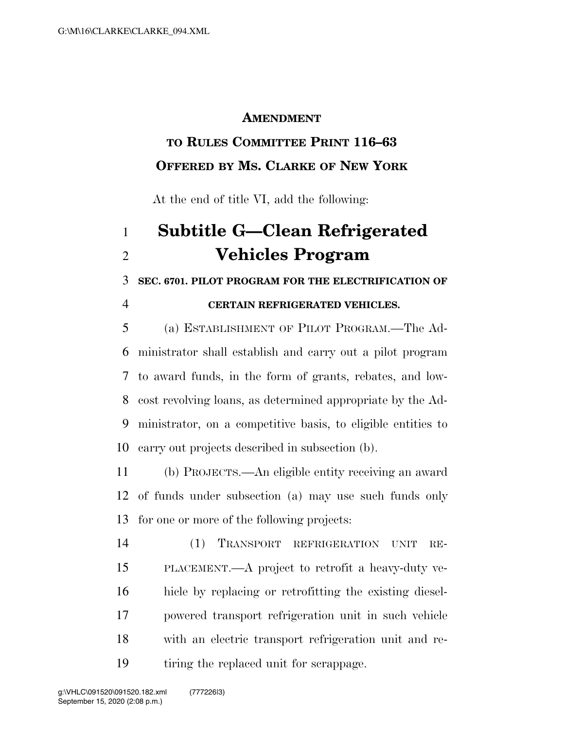### **AMENDMENT**

# **TO RULES COMMITTEE PRINT 116–63 OFFERED BY MS. CLARKE OF NEW YORK**

At the end of title VI, add the following:

# **Subtitle G—Clean Refrigerated Vehicles Program**

## **SEC. 6701. PILOT PROGRAM FOR THE ELECTRIFICATION OF**

#### **CERTAIN REFRIGERATED VEHICLES.**

 (a) ESTABLISHMENT OF PILOT PROGRAM.—The Ad- ministrator shall establish and carry out a pilot program to award funds, in the form of grants, rebates, and low- cost revolving loans, as determined appropriate by the Ad- ministrator, on a competitive basis, to eligible entities to carry out projects described in subsection (b).

 (b) PROJECTS.—An eligible entity receiving an award of funds under subsection (a) may use such funds only for one or more of the following projects:

 (1) TRANSPORT REFRIGERATION UNIT RE- PLACEMENT.—A project to retrofit a heavy-duty ve- hicle by replacing or retrofitting the existing diesel- powered transport refrigeration unit in such vehicle with an electric transport refrigeration unit and re-tiring the replaced unit for scrappage.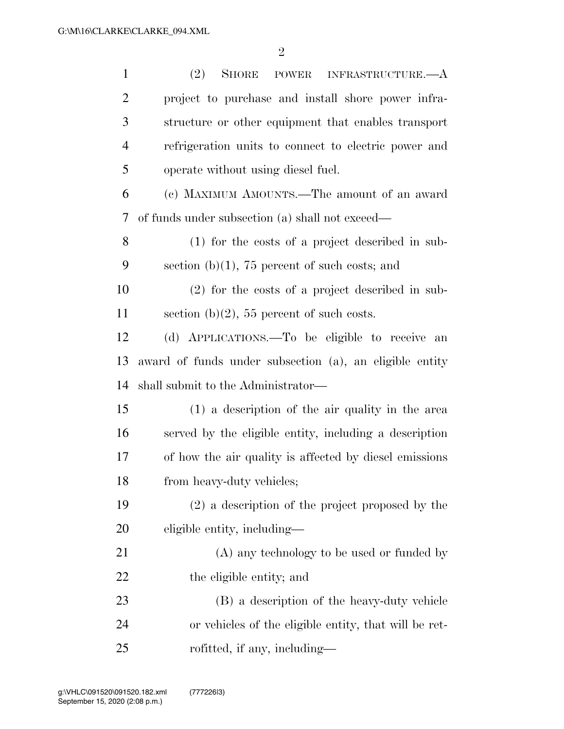| $\mathbf{1}$   | (2)<br>SHORE<br>POWER INFRASTRUCTURE.—A                 |
|----------------|---------------------------------------------------------|
| $\overline{2}$ | project to purchase and install shore power infra-      |
| 3              | structure or other equipment that enables transport     |
| $\overline{4}$ | refrigeration units to connect to electric power and    |
| 5              | operate without using diesel fuel.                      |
| 6              | (c) MAXIMUM AMOUNTS.—The amount of an award             |
| 7              | of funds under subsection (a) shall not exceed—         |
| 8              | $(1)$ for the costs of a project described in sub-      |
| 9              | section $(b)(1)$ , 75 percent of such costs; and        |
| 10             | $(2)$ for the costs of a project described in sub-      |
| 11             | section (b) $(2)$ , 55 percent of such costs.           |
| 12             | (d) APPLICATIONS.—To be eligible to receive<br>an       |
| 13             | award of funds under subsection (a), an eligible entity |
| 14             | shall submit to the Administrator—                      |
| 15             | $(1)$ a description of the air quality in the area      |
| 16             | served by the eligible entity, including a description  |
| 17             | of how the air quality is affected by diesel emissions  |
| 18             | from heavy-duty vehicles;                               |
| 19             | $(2)$ a description of the project proposed by the      |
| 20             | eligible entity, including—                             |
| 21             | (A) any technology to be used or funded by              |
| 22             | the eligible entity; and                                |
| 23             | (B) a description of the heavy-duty vehicle             |
| 24             | or vehicles of the eligible entity, that will be ret-   |
| 25             | rofitted, if any, including—                            |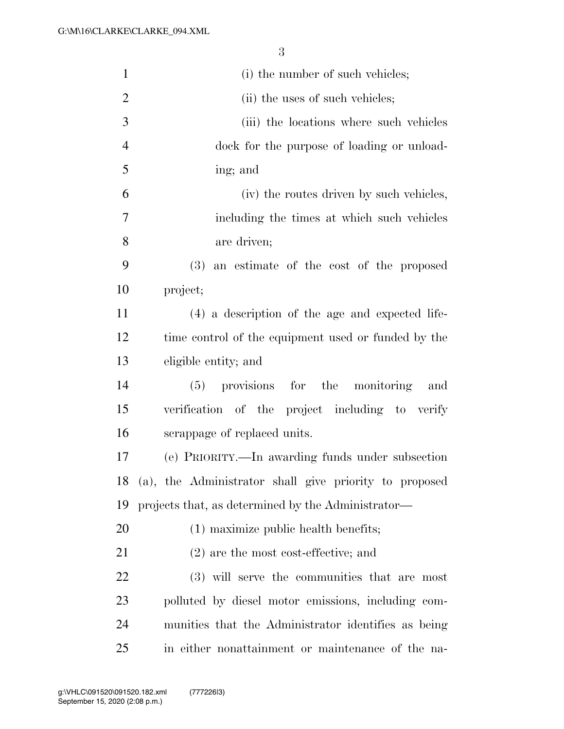| $\mathbf{1}$   | (i) the number of such vehicles;                          |
|----------------|-----------------------------------------------------------|
| 2              | (ii) the uses of such vehicles;                           |
| 3              | (iii) the locations where such vehicles                   |
| $\overline{4}$ | dock for the purpose of loading or unload-                |
| $\mathfrak{S}$ | ing; and                                                  |
| 6              | (iv) the routes driven by such vehicles,                  |
| 7              | including the times at which such vehicles                |
| 8              | are driven;                                               |
| 9              | (3)<br>an estimate of the cost of the proposed            |
| 10             | project;                                                  |
| 11             | $(4)$ a description of the age and expected life-         |
| 12             | time control of the equipment used or funded by the       |
| 13             | eligible entity; and                                      |
| 14             | provisions for the monitoring<br>(5)<br>and               |
| 15             | verification of the project including to verify           |
| 16             | scrappage of replaced units.                              |
| 17             | (e) PRIORITY.—In awarding funds under subsection          |
|                | 18 (a), the Administrator shall give priority to proposed |
| 19             | projects that, as determined by the Administrator—        |
| 20             | (1) maximize public health benefits;                      |
| 21             | $(2)$ are the most cost-effective; and                    |
| 22             | (3) will serve the communities that are most              |
| 23             | polluted by diesel motor emissions, including com-        |
| 24             | munities that the Administrator identifies as being       |
| 25             | in either nonattainment or maintenance of the na-         |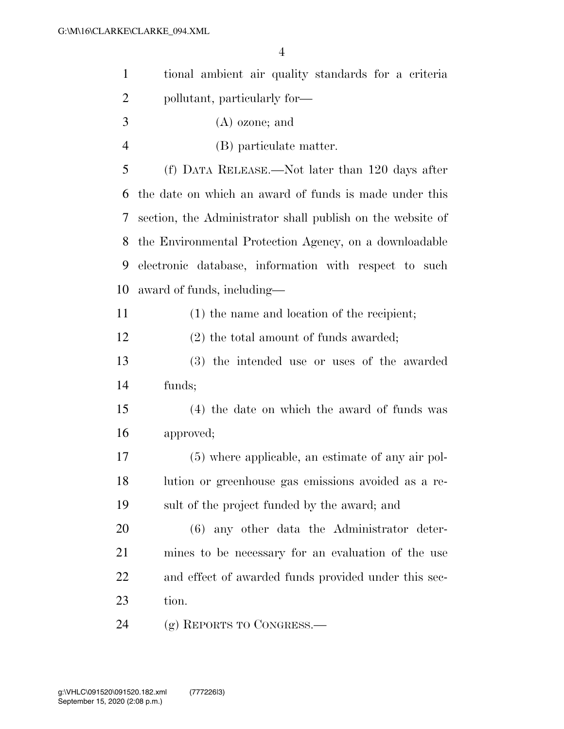| $\mathbf{1}$   | tional ambient air quality standards for a criteria        |
|----------------|------------------------------------------------------------|
| $\overline{2}$ | pollutant, particularly for—                               |
| 3              | $(A)$ ozone; and                                           |
| $\overline{4}$ | (B) particulate matter.                                    |
| 5              | (f) DATA RELEASE.—Not later than 120 days after            |
| 6              | the date on which an award of funds is made under this     |
| 7              | section, the Administrator shall publish on the website of |
| 8              | the Environmental Protection Agency, on a downloadable     |
| 9              | electronic database, information with respect to such      |
| 10             | award of funds, including—                                 |
| 11             | (1) the name and location of the recipient;                |
| 12             | $(2)$ the total amount of funds awarded;                   |
| 13             | (3) the intended use or uses of the awarded                |
| 14             | funds;                                                     |
| 15             | (4) the date on which the award of funds was               |
| 16             | approved;                                                  |
| 17             | (5) where applicable, an estimate of any air pol-          |
| 18             | lution or greenhouse gas emissions avoided as a re-        |
| 19             | sult of the project funded by the award; and               |
| 20             | $(6)$ any other data the Administrator deter-              |
| 21             | mines to be necessary for an evaluation of the use         |
| 22             | and effect of awarded funds provided under this sec-       |
| 23             | tion.                                                      |
| 24             | (g) REPORTS TO CONGRESS.—                                  |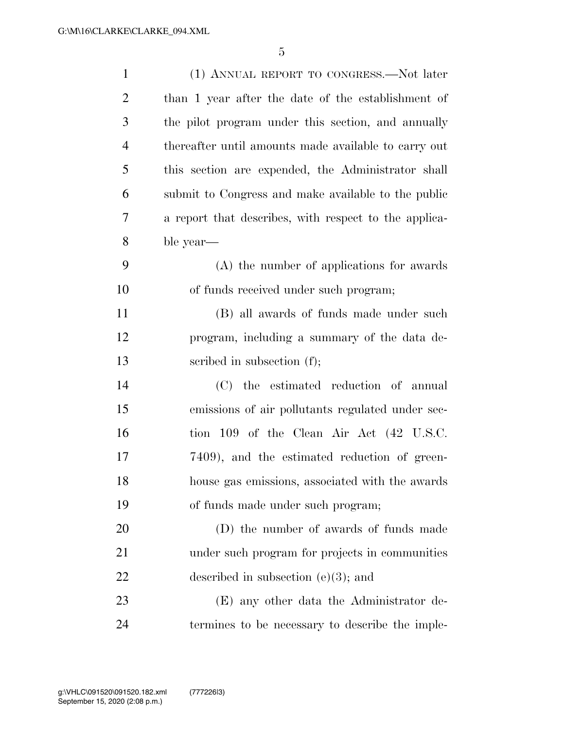| $\mathbf{1}$   | (1) ANNUAL REPORT TO CONGRESS.—Not later              |
|----------------|-------------------------------------------------------|
| $\overline{2}$ | than 1 year after the date of the establishment of    |
| 3              | the pilot program under this section, and annually    |
| $\overline{4}$ | thereafter until amounts made available to carry out  |
| 5              | this section are expended, the Administrator shall    |
| 6              | submit to Congress and make available to the public   |
| 7              | a report that describes, with respect to the applica- |
| 8              | ble year—                                             |
| 9              | (A) the number of applications for awards             |
| 10             | of funds received under such program;                 |
| 11             | (B) all awards of funds made under such               |
| 12             | program, including a summary of the data de-          |
| 13             | scribed in subsection (f);                            |
| 14             | (C) the estimated reduction of annual                 |
| 15             | emissions of air pollutants regulated under sec-      |
| 16             | tion 109 of the Clean Air Act (42 U.S.C.              |
| 17             | 7409), and the estimated reduction of green-          |
| 18             | house gas emissions, associated with the awards       |
| 19             | of funds made under such program;                     |
| 20             | (D) the number of awards of funds made                |
| 21             | under such program for projects in communities        |
| 22             | described in subsection $(e)(3)$ ; and                |
| 23             | (E) any other data the Administrator de-              |
| 24             | termines to be necessary to describe the imple-       |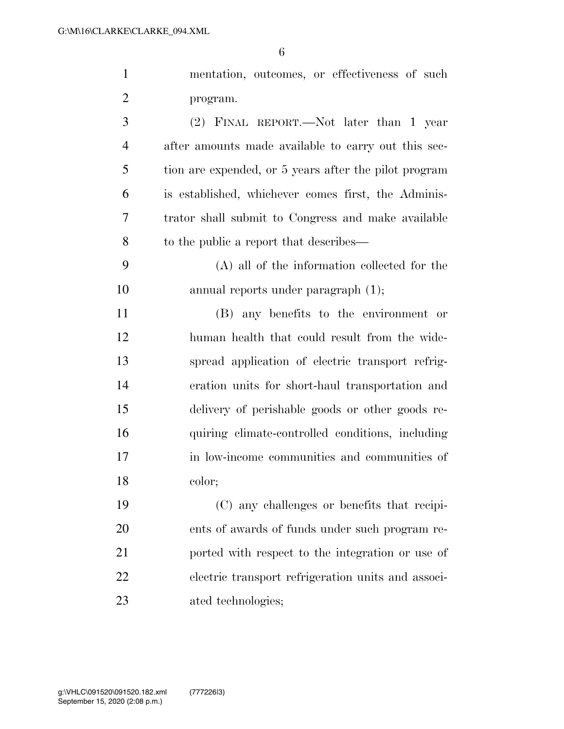| $\mathbf{1}$   | mentation, outcomes, or effectiveness of such         |
|----------------|-------------------------------------------------------|
| $\overline{2}$ | program.                                              |
| 3              | (2) FINAL REPORT.—Not later than 1 year               |
| $\overline{4}$ | after amounts made available to carry out this sec-   |
| 5              | tion are expended, or 5 years after the pilot program |
| 6              | is established, whichever comes first, the Adminis-   |
| 7              | trator shall submit to Congress and make available    |
| 8              | to the public a report that describes—                |
| 9              | (A) all of the information collected for the          |
| 10             | annual reports under paragraph $(1)$ ;                |
| 11             | (B) any benefits to the environment or                |
| 12             | human health that could result from the wide-         |
| 13             | spread application of electric transport refrig-      |
| 14             | eration units for short-haul transportation and       |
| 15             | delivery of perishable goods or other goods re-       |
| 16             | quiring climate-controlled conditions, including      |
| 17             | in low-income communities and communities of          |
| 18             | color;                                                |
| 19             | (C) any challenges or benefits that recipi-           |
| 20             | ents of awards of funds under such program re-        |
| 21             | ported with respect to the integration or use of      |
| 22             | electric transport refrigeration units and associ-    |
| 23             | ated technologies;                                    |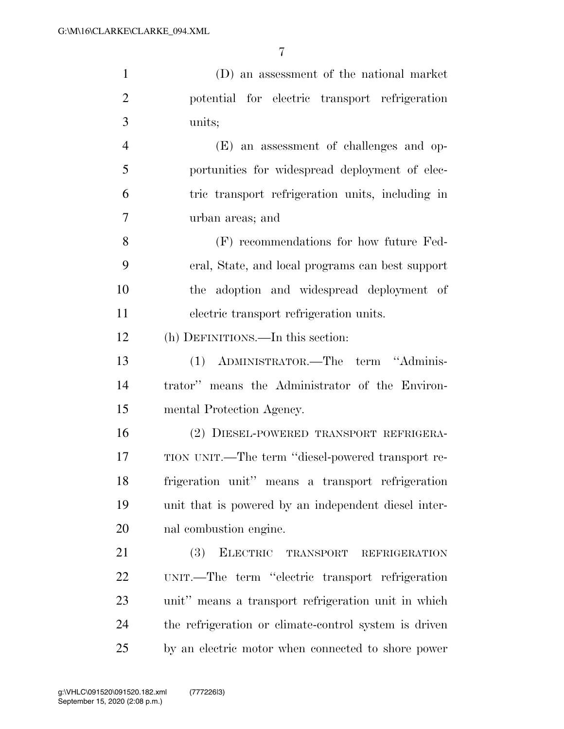(D) an assessment of the national market potential for electric transport refrigeration units; (E) an assessment of challenges and op- portunities for widespread deployment of elec- tric transport refrigeration units, including in urban areas; and

 (F) recommendations for how future Fed- eral, State, and local programs can best support the adoption and widespread deployment of electric transport refrigeration units.

(h) DEFINITIONS.—In this section:

 (1) ADMINISTRATOR.—The term ''Adminis- trator'' means the Administrator of the Environ-mental Protection Agency.

 (2) DIESEL-POWERED TRANSPORT REFRIGERA- TION UNIT.—The term ''diesel-powered transport re- frigeration unit'' means a transport refrigeration unit that is powered by an independent diesel inter-nal combustion engine.

 (3) ELECTRIC TRANSPORT REFRIGERATION UNIT.—The term ''electric transport refrigeration unit'' means a transport refrigeration unit in which the refrigeration or climate-control system is driven by an electric motor when connected to shore power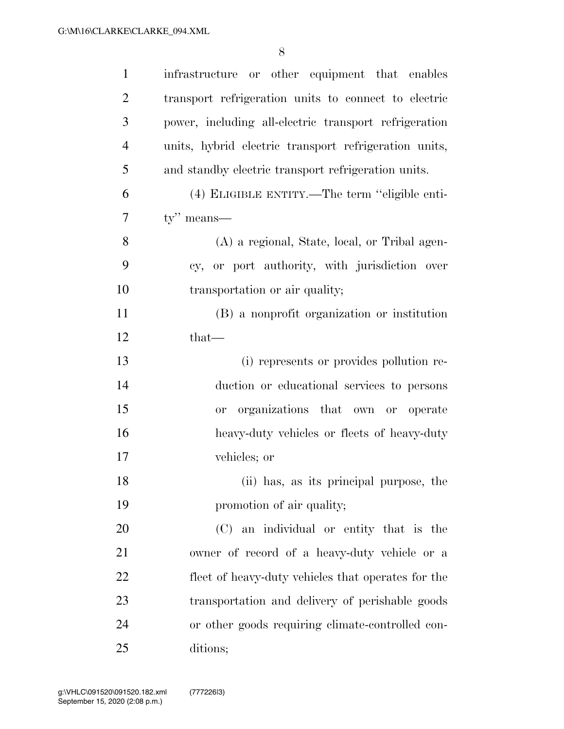| $\mathbf{1}$   | infrastructure or other equipment that enables        |
|----------------|-------------------------------------------------------|
| $\overline{2}$ | transport refrigeration units to connect to electric  |
| 3              | power, including all-electric transport refrigeration |
| $\overline{4}$ | units, hybrid electric transport refrigeration units, |
| 5              | and standby electric transport refrigeration units.   |
| 6              | (4) ELIGIBLE ENTITY.—The term "eligible enti-         |
| $\overline{7}$ | $ty''$ means—                                         |
| 8              | (A) a regional, State, local, or Tribal agen-         |
| 9              | cy, or port authority, with jurisdiction over         |
| 10             | transportation or air quality;                        |
| 11             | (B) a nonprofit organization or institution           |
| 12             | $that$ —                                              |
| 13             | (i) represents or provides pollution re-              |
| 14             | duction or educational services to persons            |
| 15             | organizations that own or operate<br>0r               |
| 16             | heavy-duty vehicles or fleets of heavy-duty           |
| 17             | vehicles; or                                          |
| 18             | (ii) has, as its principal purpose, the               |
| 19             | promotion of air quality;                             |
| 20             | (C) an individual or entity that is the               |
| 21             | owner of record of a heavy-duty vehicle or a          |
| 22             | fleet of heavy-duty vehicles that operates for the    |
| 23             | transportation and delivery of perishable goods       |
| 24             | or other goods requiring climate-controlled con-      |
| 25             | ditions;                                              |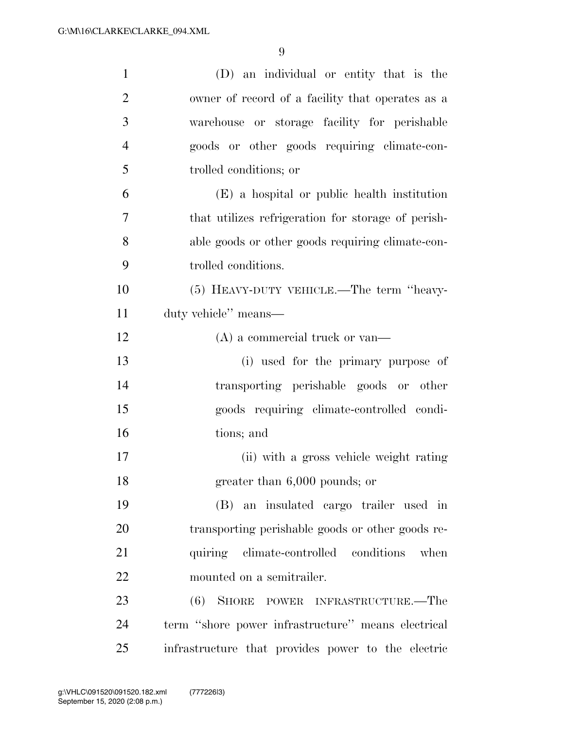| $\mathbf{1}$   | (D) an individual or entity that is the            |
|----------------|----------------------------------------------------|
| $\overline{2}$ | owner of record of a facility that operates as a   |
| 3              | warehouse or storage facility for perishable       |
| $\overline{4}$ | goods or other goods requiring climate-con-        |
| 5              | trolled conditions; or                             |
| 6              | (E) a hospital or public health institution        |
| 7              | that utilizes refrigeration for storage of perish- |
| 8              | able goods or other goods requiring climate-con-   |
| 9              | trolled conditions.                                |
| 10             | (5) HEAVY-DUTY VEHICLE.—The term "heavy-           |
| 11             | duty vehicle" means—                               |
| 12             | $(A)$ a commercial truck or van—                   |
| 13             | (i) used for the primary purpose of                |
| 14             | transporting perishable goods or other             |
| 15             | goods requiring climate-controlled condi-          |
| 16             | tions; and                                         |
| 17             | (ii) with a gross vehicle weight rating            |
| 18             | greater than $6,000$ pounds; or                    |
| 19             | (B) an insulated cargo trailer used in             |
| 20             | transporting perishable goods or other goods re-   |
| 21             | quiring climate-controlled conditions<br>when      |
| 22             | mounted on a semitrailer.                          |
| 23             | (6) SHORE POWER INFRASTRUCTURE.—The                |
| 24             | term "shore power infrastructure" means electrical |
| 25             | infrastructure that provides power to the electric |